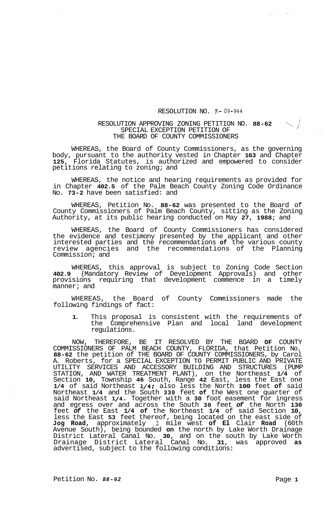## RESOLUTION NO. R- 89-944

## RESOLUTION APPROVING ZONING PETITION NO. **88-62** \ <sup>1</sup> SPECIAL EXCEPTION PETITION OF THE BOARD OF COUNTY COMMISSIONERS

WHEREAS, the Board of County Commissioners, as the governing body, pursuant to the authority vested in Chapter **163** and Chapter **125,** Florida Statutes, is authorized and empowered to consider petitions relating to zoning; and

WHEREAS, the notice and hearing requirements as provided for in Chapter **402.5** of the Palm Beach County Zoning Code Ordinance No. **73-2** have been satisfied: and

WHEREAS, Petition No. **88-62** was presented to the Board of County Commissioners of Palm Beach County, sitting as the Zoning Authority, at its public hearing conducted on May **27, 1988;** and

WHEREAS, the Board of County Commissioners has considered the evidence and testimony presented by the applicant and other interested parties and the recommendations **of** the various county review agencies and the recommendations of the Planning Commission; and

WHEREAS, this approval is subject to Zoning Code Section **402.9** (Mandatory Review of Development Approvals) and other provisions requiring that development commence in a timely manner; and

WHEREAS, the Board of County Commissioners made the following findings of fact:

**1.** This proposal is consistent with the requirements of the Comprehensive Plan and local land development regulations.

NOW, THEREFORE, BE IT RESOLVED BY THE BOARD **OF** COUNTY COMMISSIONERS OF PALM BEACH COUNTY, FLORIDA, that Petition No. **88-62** the petition of THE BOARD OF COUNTY COMMISSIONERS, by Carol A. Roberts, for a SPECIAL EXCEPTION TO PERMIT PUBLIC AND PRIVATE UTILITY SERVICES AND ACCESSORY BUILDING AND STRUCTURES (PUMP STATION, AND WATER TREATMENT PLANT), on the Northeast **1/4** of Section **10,** Township **46** South, Range **42** East, less the East one **1/4** of said Northeast **1/4;** also less the North **100** feet **of** said Northeast **1/4** and the South **330** feet **of** the West one quarter of said Northeast **1/4.** Together with a **30** foot easement for ingress and egress over and across the South **30** feet *of* the North **130**  feet *of* the East **1/4 of** the Northeast **1/4** of said Section **10,**  less the East **53** feet thereof, being located on the east side of **Jog Road,** approximately **.2** mile west **of El** Clair **Road** (60th Avenue South), being bounded **on** the north by Lake Worth Drainage District Lateral Canal No. **30,** and on the south by Lake Worth Drainage District Lateral Canal No. **31,** was approved **as**  advertised, subject to the following conditions:

Petition No.  $88-62$  Petition No.  $88-62$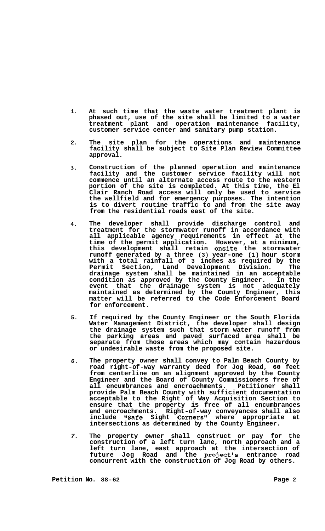- **1. At such time that the waste water treatment plant is phased out, use of the site shall be limited to a water treatment plant and operation maintenance facility, customer service center and sanitary pump station.**
- **2. The site plan for the operations and maintenance facility shall be subject to Site Plan Review Committee approval.**
- **3. Construction of the planned operation and maintenance facility and the customer service facility will not commence until an alternate access route to the western portion of the site is completed. At this time, the El Clair Ranch Road access will only be used to service the wellfield and for emergency purposes. The intention is to divert routine traffic to and from the site away from the residential roads east of the site.**
- **4. The developer shall provide discharge control and treatment for the stormwater runoff in accordance with all applicable agency requirements in effect at the time of the permit application. However, at a minimum, this development shall retain onsite the stormwater runoff generated by a three (3) year-one (1) hour storm with a total rainfall of 3 inches as required by the Permit Section, Land Development Division. The drainage system shall be maintained in an acceptable condition as approved by the County Engineer. In the event that the drainage system is not adequately maintained as determined by the County Engineer, this matter will be referred to the Code Enforcement Board for enforcement.**
- **5. If required by the County Engineer or the South Florida Water Management District, the developer shall design the drainage system such that storm water runoff from the parking areas and paved surfaced area shall be separate from those areas which may contain hazardous or undesirable waste from the proposed site.**
- *6.*  **The property owner shall convey to Palm Beach County by road right-of-way warranty deed for Jog Road, 60 feet from centerline on an alignment approved by the County Engineer and the Board of County Commissioners free of all encumbrances and encroachments. Petitioner shall provide Palm Beach County with sufficient documentation acceptable to the Right of Way Acquisition Section to ensure that the property is free of all encumbrances and encroachments. Right-of-way conveyances shall also**  include "Safe Sight Corners" where appropriate at **intersections as determined by the County Engineer.**
- *7.*  **The property owner shall construct or pay for the construction of a left turn lane, north approach and a left turn lane, east approach at the intersection of**  future Jog Road and the project's entrance road **concurrent with the construction of Jog Road by others.**